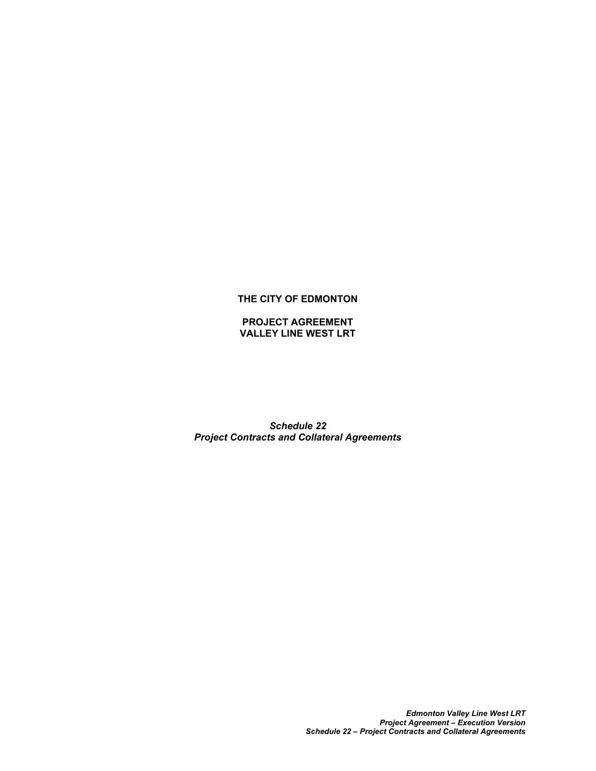## **THE CITY OF EDMONTON**

## **PROJECT AGREEMENT VALLEY LINE WEST LRT**

*Schedule 22 Project Contracts and Collateral Agreements*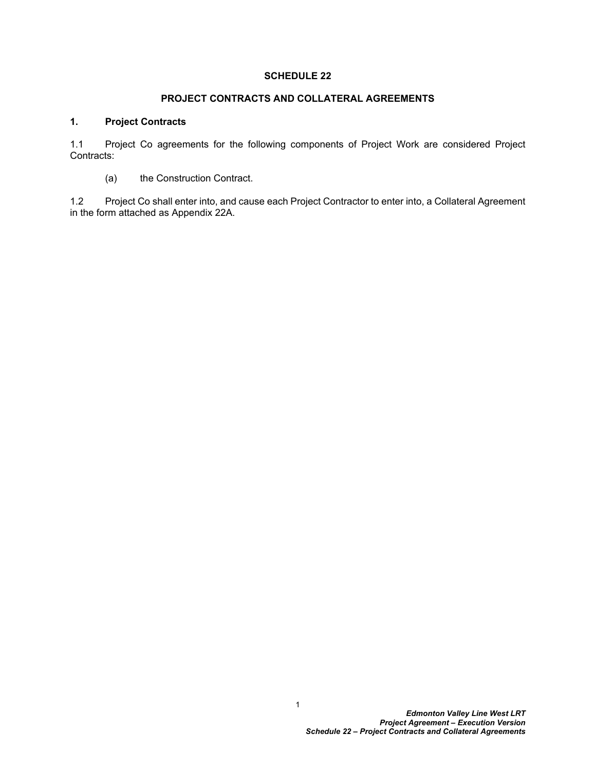# **SCHEDULE 22**

## **PROJECT CONTRACTS AND COLLATERAL AGREEMENTS**

## **1. Project Contracts**

1.1 Project Co agreements for the following components of Project Work are considered Project Contracts:

(a) the Construction Contract.

1.2 Project Co shall enter into, and cause each Project Contractor to enter into, a Collateral Agreement in the form attached as Appendix 22A.

1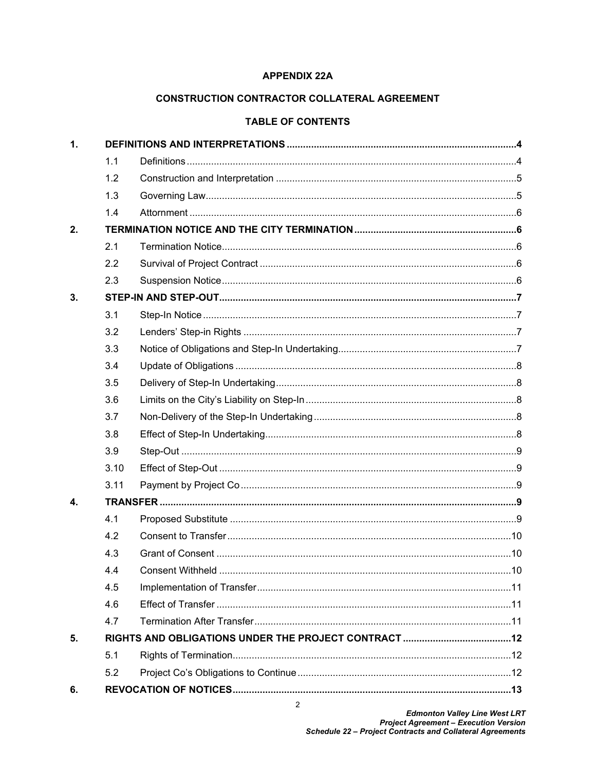## **APPENDIX 22A**

# **CONSTRUCTION CONTRACTOR COLLATERAL AGREEMENT**

#### **TABLE OF CONTENTS**

| $\mathbf{1}$ . |      |  |  |
|----------------|------|--|--|
|                | 1.1  |  |  |
|                | 1.2  |  |  |
|                | 1.3  |  |  |
|                | 1.4  |  |  |
| 2.             |      |  |  |
|                | 2.1  |  |  |
|                | 2.2  |  |  |
|                | 2.3  |  |  |
| 3.             |      |  |  |
|                | 3.1  |  |  |
|                | 3.2  |  |  |
|                | 3.3  |  |  |
|                | 3.4  |  |  |
|                | 3.5  |  |  |
|                | 3.6  |  |  |
|                | 3.7  |  |  |
|                | 3.8  |  |  |
|                | 3.9  |  |  |
|                | 3.10 |  |  |
|                | 3.11 |  |  |
| 4.             |      |  |  |
|                | 4.1  |  |  |
|                | 4.2  |  |  |
|                | 4.3  |  |  |
|                | 4.4  |  |  |
|                | 4.5  |  |  |
|                | 4.6  |  |  |
|                | 4.7  |  |  |
| 5.             |      |  |  |
|                | 5.1  |  |  |
|                | 5.2  |  |  |
| 6.             |      |  |  |

 $\overline{2}$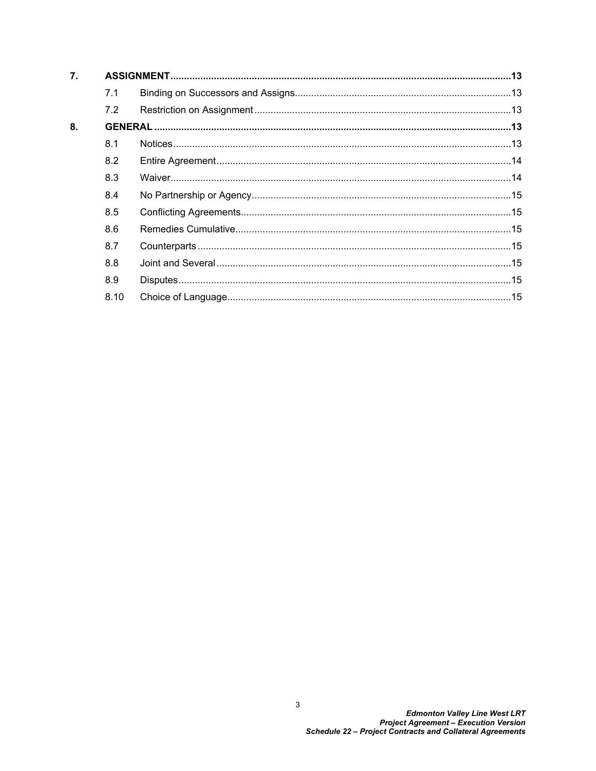| 7. |      |  |  |
|----|------|--|--|
|    | 7.1  |  |  |
|    | 7.2  |  |  |
| 8. |      |  |  |
|    | 8.1  |  |  |
|    | 8.2  |  |  |
|    | 8.3  |  |  |
|    | 8.4  |  |  |
|    | 8.5  |  |  |
|    | 8.6  |  |  |
|    | 8.7  |  |  |
|    | 8.8  |  |  |
|    | 8.9  |  |  |
|    | 8.10 |  |  |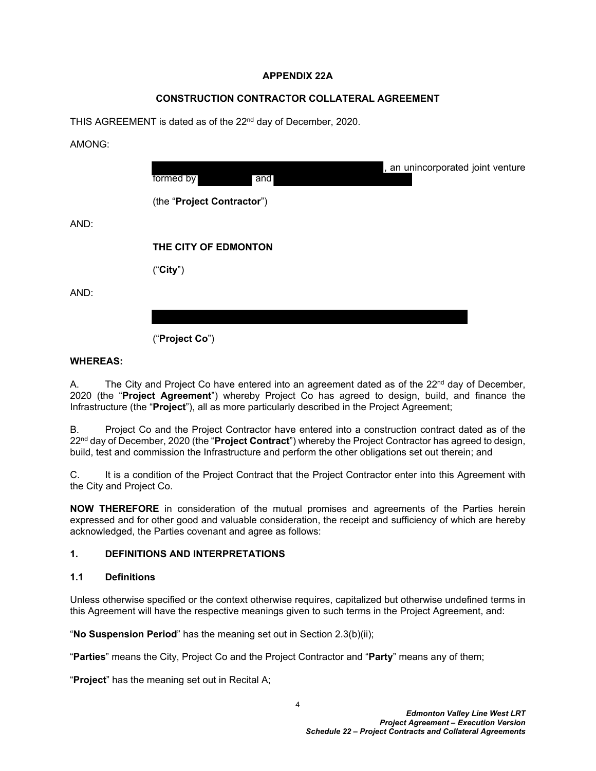## **APPENDIX 22A**

# **CONSTRUCTION CONTRACTOR COLLATERAL AGREEMENT**

THIS AGREEMENT is dated as of the 22<sup>nd</sup> day of December, 2020.

AMONG:

AND:

AND:

| formed by<br>and           |  |
|----------------------------|--|
| (the "Project Contractor") |  |
| THE CITY OF EDMONTON       |  |
| ("City")                   |  |

("**Project Co**")

## **WHEREAS:**

A. The City and Project Co have entered into an agreement dated as of the  $22<sup>nd</sup>$  day of December, 2020 (the "**Project Agreement**") whereby Project Co has agreed to design, build, and finance the Infrastructure (the "**Project**"), all as more particularly described in the Project Agreement;

B. Project Co and the Project Contractor have entered into a construction contract dated as of the 22nd day of December, 2020 (the "**Project Contract**") whereby the Project Contractor has agreed to design, build, test and commission the Infrastructure and perform the other obligations set out therein; and

C. It is a condition of the Project Contract that the Project Contractor enter into this Agreement with the City and Project Co.

**NOW THEREFORE** in consideration of the mutual promises and agreements of the Parties herein expressed and for other good and valuable consideration, the receipt and sufficiency of which are hereby acknowledged, the Parties covenant and agree as follows:

# <span id="page-4-0"></span>**1. DEFINITIONS AND INTERPRETATIONS**

#### <span id="page-4-1"></span>**1.1 Definitions**

Unless otherwise specified or the context otherwise requires, capitalized but otherwise undefined terms in this Agreement will have the respective meanings given to such terms in the Project Agreement, and:

"**No Suspension Period**" has the meaning set out in Section [2.3\(b\)\(ii\);](#page-6-4)

"**Parties**" means the City, Project Co and the Project Contractor and "**Party**" means any of them;

"**Project**" has the meaning set out in Recital A;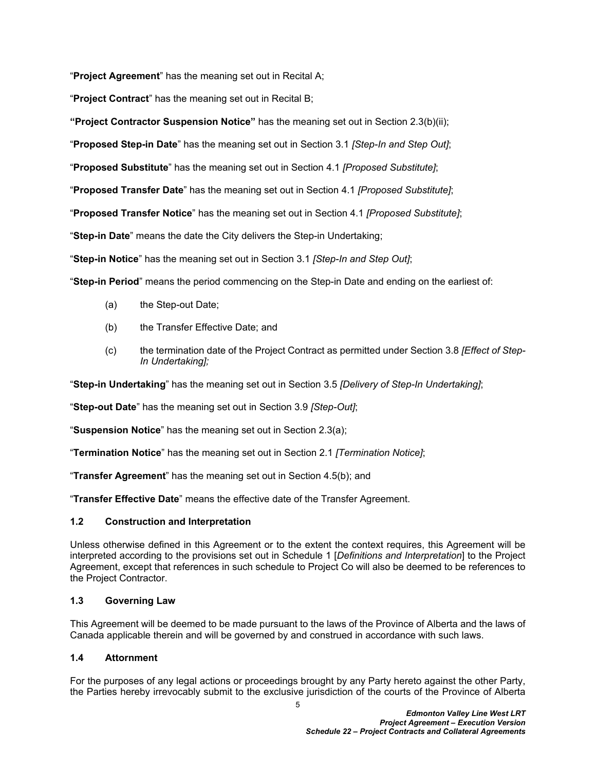"**Project Agreement**" has the meaning set out in Recital A;

"**Project Contract**" has the meaning set out in Recital B;

**"Project Contractor Suspension Notice"** has the meaning set out in Section [2.3\(b\)\(ii\);](#page-6-4)

"**Proposed Step-in Date**" has the meaning set out in Section [3.1](#page-7-1) *[Step-In and Step Out]*;

"**Proposed Substitute**" has the meaning set out in Section [4.1](#page-9-4) *[Proposed Substitute]*;

"**Proposed Transfer Date**" has the meaning set out in Section [4.1](#page-9-4) *[Proposed Substitute]*;

"**Proposed Transfer Notice**" has the meaning set out in Section [4.1](#page-9-4) *[Proposed Substitute]*;

"**Step-in Date**" means the date the City delivers the Step-in Undertaking;

"**Step-in Notice**" has the meaning set out in Section [3.1](#page-7-1) *[Step-In and Step Out]*;

"**Step-in Period**" means the period commencing on the Step-in Date and ending on the earliest of:

- (a) the Step-out Date;
- (b) the Transfer Effective Date; and
- (c) the termination date of the Project Contract as permitted under Section [3.8](#page-8-3) *[Effect of Step-In Undertaking];*

"**Step-in Undertaking**" has the meaning set out in Section [3.5](#page-8-0) *[Delivery of Step-In Undertaking]*;

"**Step-out Date**" has the meaning set out in Section [3.9](#page-9-0) *[Step-Out]*;

"**Suspension Notice**" has the meaning set out in Section [2.3\(a\);](#page-6-5)

"**Termination Notice**" has the meaning set out in Section [2.1](#page-6-1) *[Termination Notice]*;

"**Transfer Agreement**" has the meaning set out in Section [4.5\(b\);](#page-11-3) and

"**Transfer Effective Date**" means the effective date of the Transfer Agreement.

#### <span id="page-5-0"></span>**1.2 Construction and Interpretation**

Unless otherwise defined in this Agreement or to the extent the context requires, this Agreement will be interpreted according to the provisions set out in Schedule 1 [*Definitions and Interpretation*] to the Project Agreement, except that references in such schedule to Project Co will also be deemed to be references to the Project Contractor.

#### <span id="page-5-1"></span>**1.3 Governing Law**

This Agreement will be deemed to be made pursuant to the laws of the Province of Alberta and the laws of Canada applicable therein and will be governed by and construed in accordance with such laws.

#### <span id="page-5-2"></span>**1.4 Attornment**

5 For the purposes of any legal actions or proceedings brought by any Party hereto against the other Party, the Parties hereby irrevocably submit to the exclusive jurisdiction of the courts of the Province of Alberta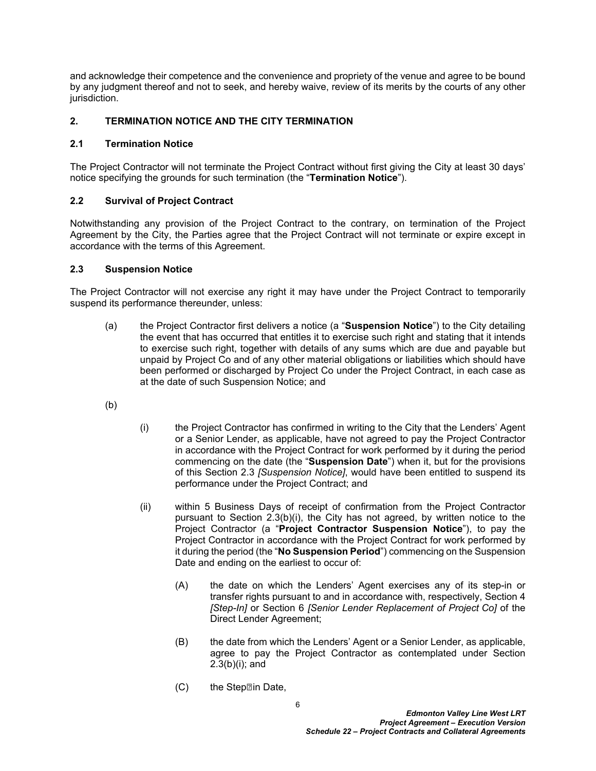and acknowledge their competence and the convenience and propriety of the venue and agree to be bound by any judgment thereof and not to seek, and hereby waive, review of its merits by the courts of any other jurisdiction.

# <span id="page-6-0"></span>**2. TERMINATION NOTICE AND THE CITY TERMINATION**

## <span id="page-6-1"></span>**2.1 Termination Notice**

The Project Contractor will not terminate the Project Contract without first giving the City at least 30 days' notice specifying the grounds for such termination (the "**Termination Notice**").

# <span id="page-6-2"></span>**2.2 Survival of Project Contract**

Notwithstanding any provision of the Project Contract to the contrary, on termination of the Project Agreement by the City, the Parties agree that the Project Contract will not terminate or expire except in accordance with the terms of this Agreement.

## <span id="page-6-3"></span>**2.3 Suspension Notice**

The Project Contractor will not exercise any right it may have under the Project Contract to temporarily suspend its performance thereunder, unless:

- <span id="page-6-5"></span>(a) the Project Contractor first delivers a notice (a "**Suspension Notice**") to the City detailing the event that has occurred that entitles it to exercise such right and stating that it intends to exercise such right, together with details of any sums which are due and payable but unpaid by Project Co and of any other material obligations or liabilities which should have been performed or discharged by Project Co under the Project Contract, in each case as at the date of such Suspension Notice; and
- (b)
- <span id="page-6-6"></span>(i) the Project Contractor has confirmed in writing to the City that the Lenders' Agent or a Senior Lender, as applicable, have not agreed to pay the Project Contractor in accordance with the Project Contract for work performed by it during the period commencing on the date (the "**Suspension Date**") when it, but for the provisions of this Section [2.3](#page-6-3) *[Suspension Notice]*, would have been entitled to suspend its performance under the Project Contract; and
- <span id="page-6-4"></span>(ii) within 5 Business Days of receipt of confirmation from the Project Contractor pursuant to Section [2.3\(b\)\(i\),](#page-6-6) the City has not agreed, by written notice to the Project Contractor (a "**Project Contractor Suspension Notice**"), to pay the Project Contractor in accordance with the Project Contract for work performed by it during the period (the "**No Suspension Period**") commencing on the Suspension Date and ending on the earliest to occur of:
	- (A) the date on which the Lenders' Agent exercises any of its step-in or transfer rights pursuant to and in accordance with, respectively, Section 4 *[Step-In]* or Section 6 *[Senior Lender Replacement of Project Co]* of the Direct Lender Agreement;
	- (B) the date from which the Lenders' Agent or a Senior Lender, as applicable, agree to pay the Project Contractor as contemplated under Section [2.3\(b\)\(i\)](#page-6-6); and
	- $(C)$  the Step $\mathbb{Z}$ in Date,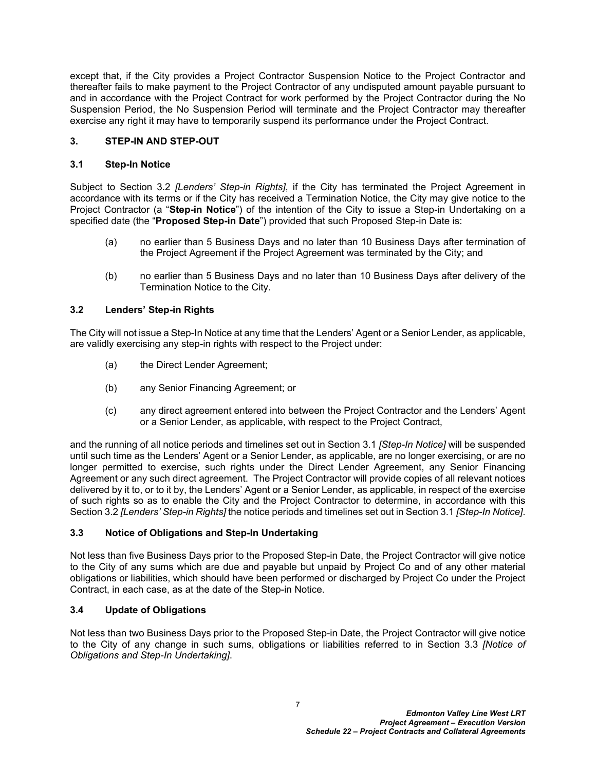except that, if the City provides a Project Contractor Suspension Notice to the Project Contractor and thereafter fails to make payment to the Project Contractor of any undisputed amount payable pursuant to and in accordance with the Project Contract for work performed by the Project Contractor during the No Suspension Period, the No Suspension Period will terminate and the Project Contractor may thereafter exercise any right it may have to temporarily suspend its performance under the Project Contract.

# <span id="page-7-0"></span>**3. STEP-IN AND STEP-OUT**

# <span id="page-7-1"></span>**3.1 Step-In Notice**

Subject to Section [3.2](#page-7-2) *[Lenders' Step-in Rights]*, if the City has terminated the Project Agreement in accordance with its terms or if the City has received a Termination Notice, the City may give notice to the Project Contractor (a "**Step-in Notice**") of the intention of the City to issue a Step-in Undertaking on a specified date (the "**Proposed Step-in Date**") provided that such Proposed Step-in Date is:

- (a) no earlier than 5 Business Days and no later than 10 Business Days after termination of the Project Agreement if the Project Agreement was terminated by the City; and
- (b) no earlier than 5 Business Days and no later than 10 Business Days after delivery of the Termination Notice to the City.

# <span id="page-7-2"></span>**3.2 Lenders' Step-in Rights**

The City will not issue a Step-In Notice at any time that the Lenders' Agent or a Senior Lender, as applicable, are validly exercising any step-in rights with respect to the Project under:

- (a) the Direct Lender Agreement;
- (b) any Senior Financing Agreement; or
- (c) any direct agreement entered into between the Project Contractor and the Lenders' Agent or a Senior Lender, as applicable, with respect to the Project Contract,

and the running of all notice periods and timelines set out in Section [3.1](#page-7-1) *[Step-In Notice]* will be suspended until such time as the Lenders' Agent or a Senior Lender, as applicable, are no longer exercising, or are no longer permitted to exercise, such rights under the Direct Lender Agreement, any Senior Financing Agreement or any such direct agreement. The Project Contractor will provide copies of all relevant notices delivered by it to, or to it by, the Lenders' Agent or a Senior Lender, as applicable, in respect of the exercise of such rights so as to enable the City and the Project Contractor to determine, in accordance with this Section [3.2](#page-7-2) *[Lenders' Step-in Rights]* the notice periods and timelines set out in Section [3.1](#page-7-1) *[Step-In Notice]*.

#### <span id="page-7-3"></span>**3.3 Notice of Obligations and Step-In Undertaking**

Not less than five Business Days prior to the Proposed Step-in Date, the Project Contractor will give notice to the City of any sums which are due and payable but unpaid by Project Co and of any other material obligations or liabilities, which should have been performed or discharged by Project Co under the Project Contract, in each case, as at the date of the Step-in Notice.

# <span id="page-7-4"></span>**3.4 Update of Obligations**

Not less than two Business Days prior to the Proposed Step-in Date, the Project Contractor will give notice to the City of any change in such sums, obligations or liabilities referred to in Section [3.3](#page-7-3) *[Notice of Obligations and Step-In Undertaking]*.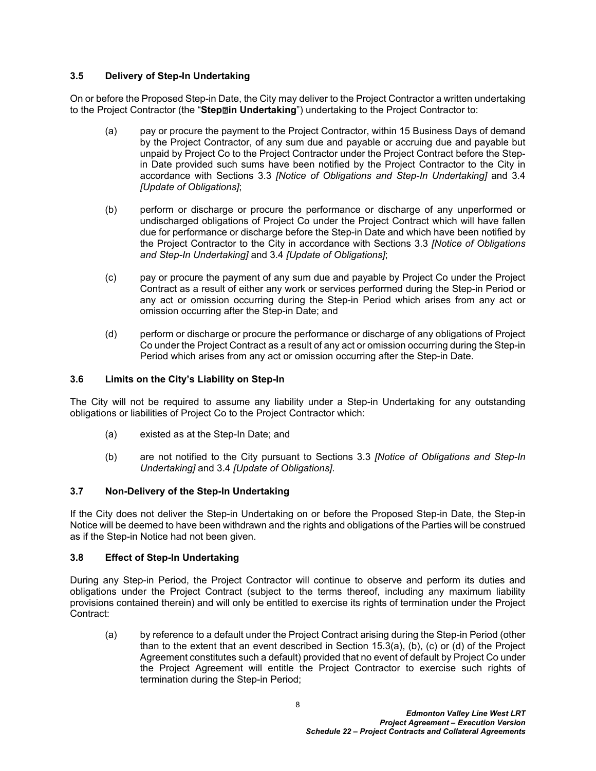# <span id="page-8-0"></span>**3.5 Delivery of Step-In Undertaking**

On or before the Proposed Step-in Date, the City may deliver to the Project Contractor a written undertaking to the Project Contractor (the "**Step‑in Undertaking**") undertaking to the Project Contractor to:

- (a) pay or procure the payment to the Project Contractor, within 15 Business Days of demand by the Project Contractor, of any sum due and payable or accruing due and payable but unpaid by Project Co to the Project Contractor under the Project Contract before the Stepin Date provided such sums have been notified by the Project Contractor to the City in accordance with Sections [3.3](#page-7-3) *[Notice of Obligations and Step-In Undertaking]* and [3.4](#page-7-4)  *[Update of Obligations]*;
- (b) perform or discharge or procure the performance or discharge of any unperformed or undischarged obligations of Project Co under the Project Contract which will have fallen due for performance or discharge before the Step-in Date and which have been notified by the Project Contractor to the City in accordance with Sections [3.3](#page-7-3) *[Notice of Obligations and Step-In Undertaking]* and [3.4](#page-7-4) *[Update of Obligations]*;
- (c) pay or procure the payment of any sum due and payable by Project Co under the Project Contract as a result of either any work or services performed during the Step-in Period or any act or omission occurring during the Step-in Period which arises from any act or omission occurring after the Step-in Date; and
- (d) perform or discharge or procure the performance or discharge of any obligations of Project Co under the Project Contract as a result of any act or omission occurring during the Step-in Period which arises from any act or omission occurring after the Step-in Date.

## <span id="page-8-1"></span>**3.6 Limits on the City's Liability on Step-In**

The City will not be required to assume any liability under a Step-in Undertaking for any outstanding obligations or liabilities of Project Co to the Project Contractor which:

- (a) existed as at the Step-In Date; and
- (b) are not notified to the City pursuant to Sections [3.3](#page-7-3) *[Notice of Obligations and Step-In Undertaking]* and [3.4](#page-7-4) *[Update of Obligations]*.

# <span id="page-8-2"></span>**3.7 Non-Delivery of the Step-In Undertaking**

If the City does not deliver the Step-in Undertaking on or before the Proposed Step-in Date, the Step-in Notice will be deemed to have been withdrawn and the rights and obligations of the Parties will be construed as if the Step-in Notice had not been given.

#### <span id="page-8-3"></span>**3.8 Effect of Step-In Undertaking**

During any Step-in Period, the Project Contractor will continue to observe and perform its duties and obligations under the Project Contract (subject to the terms thereof, including any maximum liability provisions contained therein) and will only be entitled to exercise its rights of termination under the Project Contract:

(a) by reference to a default under the Project Contract arising during the Step-in Period (other than to the extent that an event described in Section 15.3(a), (b), (c) or (d) of the Project Agreement constitutes such a default) provided that no event of default by Project Co under the Project Agreement will entitle the Project Contractor to exercise such rights of termination during the Step-in Period;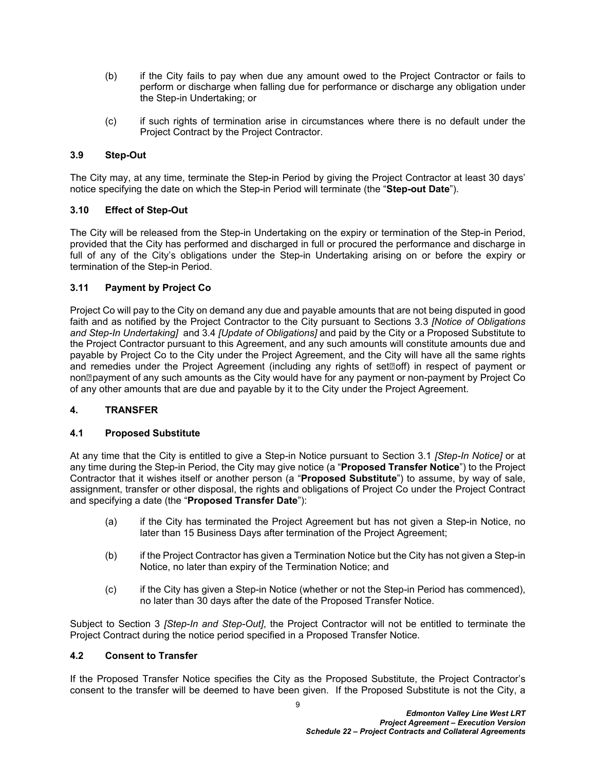- (b) if the City fails to pay when due any amount owed to the Project Contractor or fails to perform or discharge when falling due for performance or discharge any obligation under the Step-in Undertaking; or
- (c) if such rights of termination arise in circumstances where there is no default under the Project Contract by the Project Contractor.

## <span id="page-9-0"></span>**3.9 Step-Out**

The City may, at any time, terminate the Step-in Period by giving the Project Contractor at least 30 days' notice specifying the date on which the Step-in Period will terminate (the "**Step-out Date**").

## <span id="page-9-1"></span>**3.10 Effect of Step-Out**

The City will be released from the Step-in Undertaking on the expiry or termination of the Step-in Period, provided that the City has performed and discharged in full or procured the performance and discharge in full of any of the City's obligations under the Step-in Undertaking arising on or before the expiry or termination of the Step-in Period.

## <span id="page-9-2"></span>**3.11 Payment by Project Co**

Project Co will pay to the City on demand any due and payable amounts that are not being disputed in good faith and as notified by the Project Contractor to the City pursuant to Sections [3.3](#page-7-3) *[Notice of Obligations and Step-In Undertaking]* and 3.4 *[Update of Obligations]* and paid by the City or a Proposed Substitute to the Project Contractor pursuant to this Agreement, and any such amounts will constitute amounts due and payable by Project Co to the City under the Project Agreement, and the City will have all the same rights and remedies under the Project Agreement (including any rights of set<sup>®</sup>off) in respect of payment or non**<b>payment of any such amounts as the City** would have for any payment or non-payment by Project Co of any other amounts that are due and payable by it to the City under the Project Agreement.

# <span id="page-9-3"></span>**4. TRANSFER**

#### <span id="page-9-4"></span>**4.1 Proposed Substitute**

At any time that the City is entitled to give a Step-in Notice pursuant to Section [3.1](#page-7-1) *[Step-In Notice]* or at any time during the Step-in Period, the City may give notice (a "**Proposed Transfer Notice**") to the Project Contractor that it wishes itself or another person (a "**Proposed Substitute**") to assume, by way of sale, assignment, transfer or other disposal, the rights and obligations of Project Co under the Project Contract and specifying a date (the "**Proposed Transfer Date**"):

- <span id="page-9-6"></span>(a) if the City has terminated the Project Agreement but has not given a Step-in Notice, no later than 15 Business Days after termination of the Project Agreement;
- <span id="page-9-7"></span>(b) if the Project Contractor has given a Termination Notice but the City has not given a Step-in Notice, no later than expiry of the Termination Notice; and
- <span id="page-9-8"></span>(c) if the City has given a Step-in Notice (whether or not the Step-in Period has commenced), no later than 30 days after the date of the Proposed Transfer Notice.

Subject to Section [3](#page-7-0) *[Step-In and Step-Out]*, the Project Contractor will not be entitled to terminate the Project Contract during the notice period specified in a Proposed Transfer Notice.

#### <span id="page-9-5"></span>**4.2 Consent to Transfer**

If the Proposed Transfer Notice specifies the City as the Proposed Substitute, the Project Contractor's consent to the transfer will be deemed to have been given. If the Proposed Substitute is not the City, a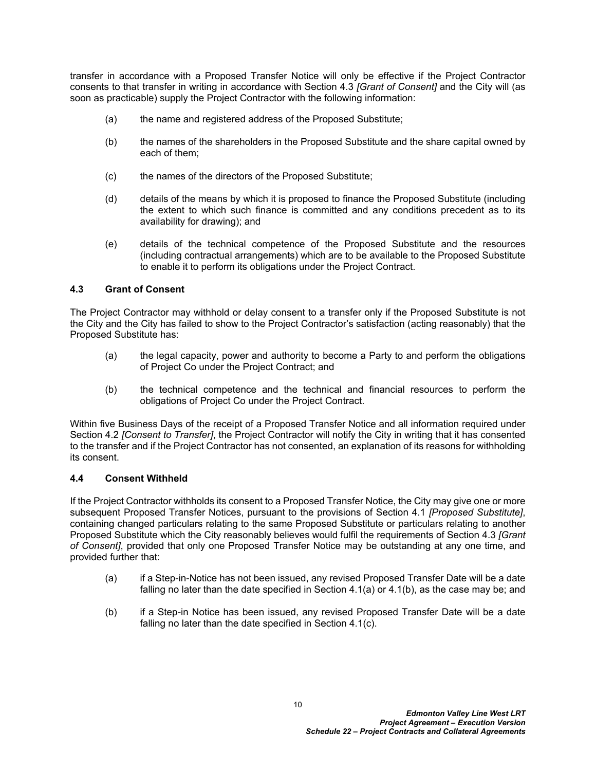transfer in accordance with a Proposed Transfer Notice will only be effective if the Project Contractor consents to that transfer in writing in accordance with Section [4.3](#page-10-0) *[Grant of Consent]* and the City will (as soon as practicable) supply the Project Contractor with the following information:

- (a) the name and registered address of the Proposed Substitute;
- (b) the names of the shareholders in the Proposed Substitute and the share capital owned by each of them;
- (c) the names of the directors of the Proposed Substitute;
- (d) details of the means by which it is proposed to finance the Proposed Substitute (including the extent to which such finance is committed and any conditions precedent as to its availability for drawing); and
- (e) details of the technical competence of the Proposed Substitute and the resources (including contractual arrangements) which are to be available to the Proposed Substitute to enable it to perform its obligations under the Project Contract.

## <span id="page-10-0"></span>**4.3 Grant of Consent**

The Project Contractor may withhold or delay consent to a transfer only if the Proposed Substitute is not the City and the City has failed to show to the Project Contractor's satisfaction (acting reasonably) that the Proposed Substitute has:

- (a) the legal capacity, power and authority to become a Party to and perform the obligations of Project Co under the Project Contract; and
- (b) the technical competence and the technical and financial resources to perform the obligations of Project Co under the Project Contract.

Within five Business Days of the receipt of a Proposed Transfer Notice and all information required under Section [4.2](#page-9-5) *[Consent to Transfer]*, the Project Contractor will notify the City in writing that it has consented to the transfer and if the Project Contractor has not consented, an explanation of its reasons for withholding its consent.

#### <span id="page-10-1"></span>**4.4 Consent Withheld**

If the Project Contractor withholds its consent to a Proposed Transfer Notice, the City may give one or more subsequent Proposed Transfer Notices, pursuant to the provisions of Section [4.1](#page-9-4) *[Proposed Substitute]*, containing changed particulars relating to the same Proposed Substitute or particulars relating to another Proposed Substitute which the City reasonably believes would fulfil the requirements of Section [4.3](#page-10-0) *[Grant of Consent]*, provided that only one Proposed Transfer Notice may be outstanding at any one time, and provided further that:

- (a) if a Step-in-Notice has not been issued, any revised Proposed Transfer Date will be a date falling no later than the date specified in Section [4.1\(a\)](#page-9-6) or [4.1\(b\),](#page-9-7) as the case may be; and
- (b) if a Step-in Notice has been issued, any revised Proposed Transfer Date will be a date falling no later than the date specified in Section [4.1\(c\).](#page-9-8)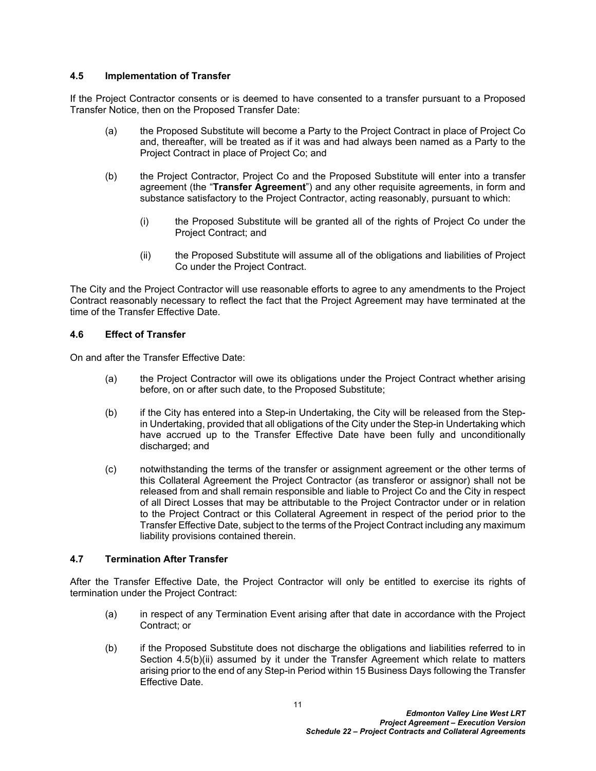## <span id="page-11-0"></span>**4.5 Implementation of Transfer**

If the Project Contractor consents or is deemed to have consented to a transfer pursuant to a Proposed Transfer Notice, then on the Proposed Transfer Date:

- (a) the Proposed Substitute will become a Party to the Project Contract in place of Project Co and, thereafter, will be treated as if it was and had always been named as a Party to the Project Contract in place of Project Co; and
- <span id="page-11-3"></span>(b) the Project Contractor, Project Co and the Proposed Substitute will enter into a transfer agreement (the "**Transfer Agreement**") and any other requisite agreements, in form and substance satisfactory to the Project Contractor, acting reasonably, pursuant to which:
	- (i) the Proposed Substitute will be granted all of the rights of Project Co under the Project Contract; and
	- (ii) the Proposed Substitute will assume all of the obligations and liabilities of Project Co under the Project Contract.

<span id="page-11-4"></span>The City and the Project Contractor will use reasonable efforts to agree to any amendments to the Project Contract reasonably necessary to reflect the fact that the Project Agreement may have terminated at the time of the Transfer Effective Date.

## <span id="page-11-1"></span>**4.6 Effect of Transfer**

On and after the Transfer Effective Date:

- (a) the Project Contractor will owe its obligations under the Project Contract whether arising before, on or after such date, to the Proposed Substitute;
- (b) if the City has entered into a Step-in Undertaking, the City will be released from the Stepin Undertaking, provided that all obligations of the City under the Step-in Undertaking which have accrued up to the Transfer Effective Date have been fully and unconditionally discharged; and
- (c) notwithstanding the terms of the transfer or assignment agreement or the other terms of this Collateral Agreement the Project Contractor (as transferor or assignor) shall not be released from and shall remain responsible and liable to Project Co and the City in respect of all Direct Losses that may be attributable to the Project Contractor under or in relation to the Project Contract or this Collateral Agreement in respect of the period prior to the Transfer Effective Date, subject to the terms of the Project Contract including any maximum liability provisions contained therein.

# <span id="page-11-2"></span>**4.7 Termination After Transfer**

After the Transfer Effective Date, the Project Contractor will only be entitled to exercise its rights of termination under the Project Contract:

- (a) in respect of any Termination Event arising after that date in accordance with the Project Contract; or
- (b) if the Proposed Substitute does not discharge the obligations and liabilities referred to in Section [4.5\(b\)\(ii\)](#page-11-4) assumed by it under the Transfer Agreement which relate to matters arising prior to the end of any Step-in Period within 15 Business Days following the Transfer Effective Date.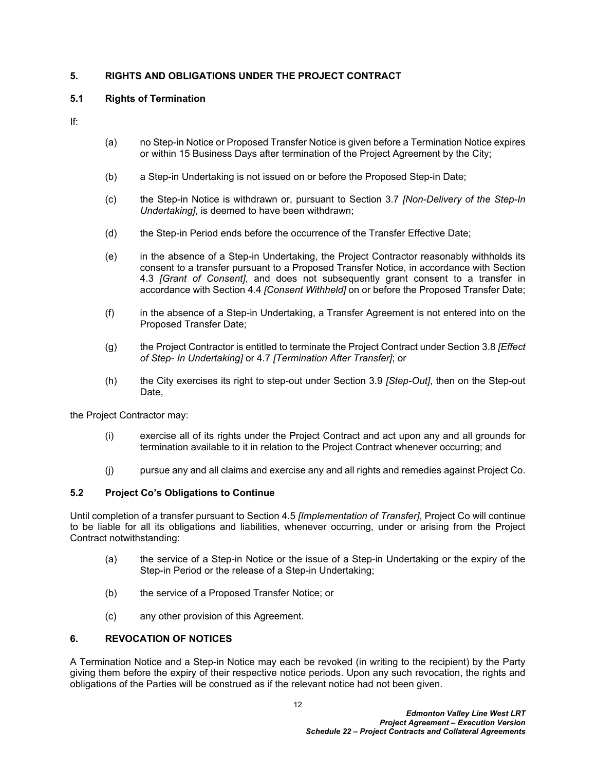# <span id="page-12-0"></span>**5. RIGHTS AND OBLIGATIONS UNDER THE PROJECT CONTRACT**

# <span id="page-12-1"></span>**5.1 Rights of Termination**

If:

- (a) no Step-in Notice or Proposed Transfer Notice is given before a Termination Notice expires or within 15 Business Days after termination of the Project Agreement by the City;
- (b) a Step-in Undertaking is not issued on or before the Proposed Step-in Date;
- (c) the Step-in Notice is withdrawn or, pursuant to Section [3.7](#page-8-2) *[Non-Delivery of the Step-In Undertaking]*, is deemed to have been withdrawn;
- (d) the Step-in Period ends before the occurrence of the Transfer Effective Date;
- (e) in the absence of a Step-in Undertaking, the Project Contractor reasonably withholds its consent to a transfer pursuant to a Proposed Transfer Notice, in accordance with Section [4.3](#page-10-0) *[Grant of Consent]*, and does not subsequently grant consent to a transfer in accordance with Section [4.4](#page-10-1) *[Consent Withheld]* on or before the Proposed Transfer Date;
- (f) in the absence of a Step-in Undertaking, a Transfer Agreement is not entered into on the Proposed Transfer Date;
- (g) the Project Contractor is entitled to terminate the Project Contract under Section [3.8](#page-8-3) *[Effect of Step- In Undertaking]* or [4.7](#page-11-2) *[Termination After Transfer]*; or
- (h) the City exercises its right to step-out under Section [3.9](#page-9-0) *[Step-Out]*, then on the Step-out Date,

the Project Contractor may:

- (i) exercise all of its rights under the Project Contract and act upon any and all grounds for termination available to it in relation to the Project Contract whenever occurring; and
- (j) pursue any and all claims and exercise any and all rights and remedies against Project Co.

# <span id="page-12-2"></span>**5.2 Project Co's Obligations to Continue**

Until completion of a transfer pursuant to Section [4.5](#page-11-0) *[Implementation of Transfer]*, Project Co will continue to be liable for all its obligations and liabilities, whenever occurring, under or arising from the Project Contract notwithstanding:

- (a) the service of a Step-in Notice or the issue of a Step-in Undertaking or the expiry of the Step-in Period or the release of a Step-in Undertaking;
- (b) the service of a Proposed Transfer Notice; or
- (c) any other provision of this Agreement.

# <span id="page-12-3"></span>**6. REVOCATION OF NOTICES**

A Termination Notice and a Step-in Notice may each be revoked (in writing to the recipient) by the Party giving them before the expiry of their respective notice periods. Upon any such revocation, the rights and obligations of the Parties will be construed as if the relevant notice had not been given.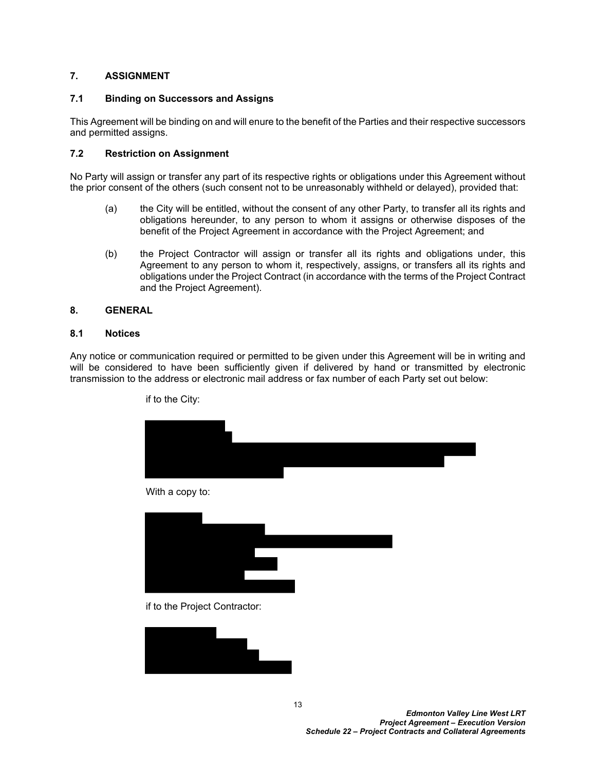## <span id="page-13-0"></span>**7. ASSIGNMENT**

#### <span id="page-13-1"></span>**7.1 Binding on Successors and Assigns**

This Agreement will be binding on and will enure to the benefit of the Parties and their respective successors and permitted assigns.

#### <span id="page-13-2"></span>**7.2 Restriction on Assignment**

No Party will assign or transfer any part of its respective rights or obligations under this Agreement without the prior consent of the others (such consent not to be unreasonably withheld or delayed), provided that:

- (a) the City will be entitled, without the consent of any other Party, to transfer all its rights and obligations hereunder, to any person to whom it assigns or otherwise disposes of the benefit of the Project Agreement in accordance with the Project Agreement; and
- (b) the Project Contractor will assign or transfer all its rights and obligations under, this Agreement to any person to whom it, respectively, assigns, or transfers all its rights and obligations under the Project Contract (in accordance with the terms of the Project Contract and the Project Agreement).

#### <span id="page-13-3"></span>**8. GENERAL**

#### <span id="page-13-4"></span>**8.1 Notices**

Any notice or communication required or permitted to be given under this Agreement will be in writing and will be considered to have been sufficiently given if delivered by hand or transmitted by electronic transmission to the address or electronic mail address or fax number of each Party set out below:

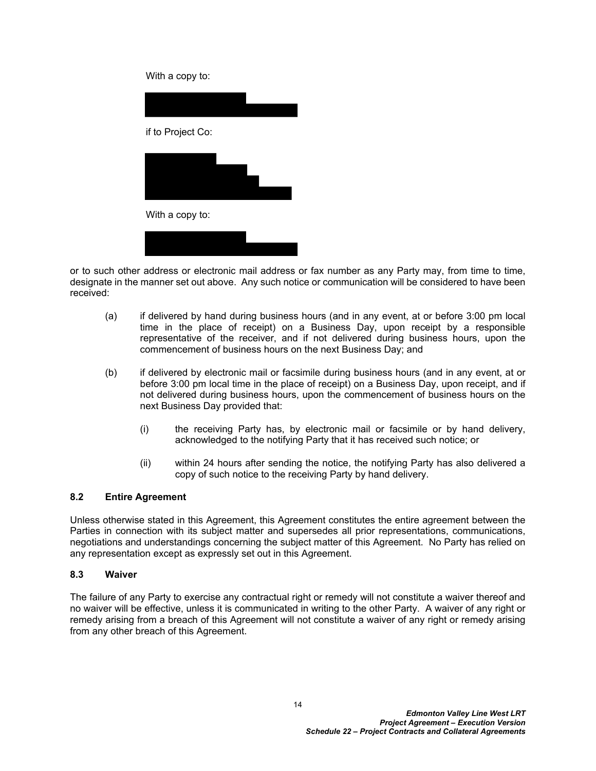With a copy to:

| if to Project Co: |  |
|-------------------|--|
|                   |  |
|                   |  |
| With a copy to:   |  |
|                   |  |

or to such other address or electronic mail address or fax number as any Party may, from time to time, designate in the manner set out above. Any such notice or communication will be considered to have been received:

- (a) if delivered by hand during business hours (and in any event, at or before 3:00 pm local time in the place of receipt) on a Business Day, upon receipt by a responsible representative of the receiver, and if not delivered during business hours, upon the commencement of business hours on the next Business Day; and
- (b) if delivered by electronic mail or facsimile during business hours (and in any event, at or before 3:00 pm local time in the place of receipt) on a Business Day, upon receipt, and if not delivered during business hours, upon the commencement of business hours on the next Business Day provided that:
	- (i) the receiving Party has, by electronic mail or facsimile or by hand delivery, acknowledged to the notifying Party that it has received such notice; or
	- (ii) within 24 hours after sending the notice, the notifying Party has also delivered a copy of such notice to the receiving Party by hand delivery.

# <span id="page-14-0"></span>**8.2 Entire Agreement**

Unless otherwise stated in this Agreement, this Agreement constitutes the entire agreement between the Parties in connection with its subject matter and supersedes all prior representations, communications, negotiations and understandings concerning the subject matter of this Agreement. No Party has relied on any representation except as expressly set out in this Agreement.

# <span id="page-14-1"></span>**8.3 Waiver**

The failure of any Party to exercise any contractual right or remedy will not constitute a waiver thereof and no waiver will be effective, unless it is communicated in writing to the other Party. A waiver of any right or remedy arising from a breach of this Agreement will not constitute a waiver of any right or remedy arising from any other breach of this Agreement.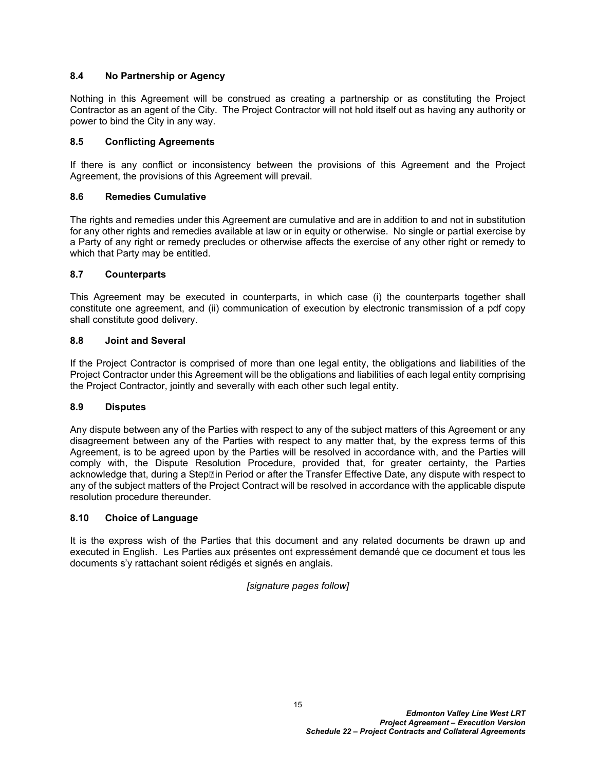## <span id="page-15-0"></span>**8.4 No Partnership or Agency**

Nothing in this Agreement will be construed as creating a partnership or as constituting the Project Contractor as an agent of the City. The Project Contractor will not hold itself out as having any authority or power to bind the City in any way.

## <span id="page-15-1"></span>**8.5 Conflicting Agreements**

If there is any conflict or inconsistency between the provisions of this Agreement and the Project Agreement, the provisions of this Agreement will prevail.

#### <span id="page-15-2"></span>**8.6 Remedies Cumulative**

The rights and remedies under this Agreement are cumulative and are in addition to and not in substitution for any other rights and remedies available at law or in equity or otherwise. No single or partial exercise by a Party of any right or remedy precludes or otherwise affects the exercise of any other right or remedy to which that Party may be entitled.

## <span id="page-15-3"></span>**8.7 Counterparts**

This Agreement may be executed in counterparts, in which case (i) the counterparts together shall constitute one agreement, and (ii) communication of execution by electronic transmission of a pdf copy shall constitute good delivery.

## <span id="page-15-4"></span>**8.8 Joint and Several**

If the Project Contractor is comprised of more than one legal entity, the obligations and liabilities of the Project Contractor under this Agreement will be the obligations and liabilities of each legal entity comprising the Project Contractor, jointly and severally with each other such legal entity.

#### <span id="page-15-5"></span>**8.9 Disputes**

Any dispute between any of the Parties with respect to any of the subject matters of this Agreement or any disagreement between any of the Parties with respect to any matter that, by the express terms of this Agreement, is to be agreed upon by the Parties will be resolved in accordance with, and the Parties will comply with, the Dispute Resolution Procedure, provided that, for greater certainty, the Parties acknowledge that, during a Step $\Box$ in Period or after the Transfer Effective Date, any dispute with respect to any of the subject matters of the Project Contract will be resolved in accordance with the applicable dispute resolution procedure thereunder.

#### <span id="page-15-6"></span>**8.10 Choice of Language**

It is the express wish of the Parties that this document and any related documents be drawn up and executed in English. Les Parties aux présentes ont expressément demandé que ce document et tous les documents s'y rattachant soient rédigés et signés en anglais.

# *[signature pages follow]*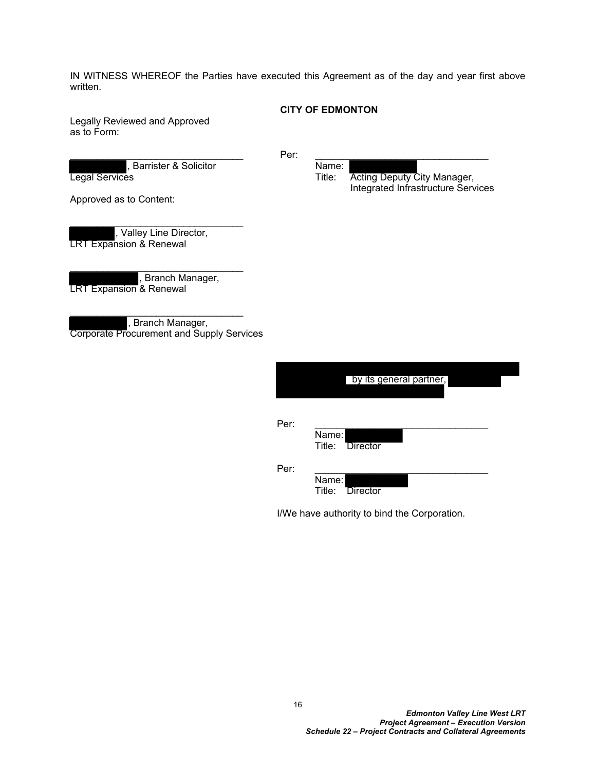IN WITNESS WHEREOF the Parties have executed this Agreement as of the day and year first above written.

#### **CITY OF EDMONTON**

Legally Reviewed and Approved as to Form:

Barrister & Solicitor Name:

\_\_\_\_\_\_\_\_\_\_\_\_\_\_\_\_\_\_\_\_\_\_\_\_\_\_\_\_\_\_\_\_

 $\blacksquare$   $\blacksquare$   $\blacksquare$   $\blacksquare$   $\blacksquare$   $\blacksquare$   $\blacksquare$   $\blacksquare$   $\blacksquare$   $\blacksquare$   $\blacksquare$   $\blacksquare$   $\blacksquare$   $\blacksquare$   $\blacksquare$   $\blacksquare$   $\blacksquare$   $\blacksquare$   $\blacksquare$   $\blacksquare$   $\blacksquare$   $\blacksquare$   $\blacksquare$   $\blacksquare$   $\blacksquare$   $\blacksquare$   $\blacksquare$   $\blacksquare$   $\blacksquare$   $\blacksquare$   $\blacksquare$   $\blacks$ **Legal Services Title: Acting Deputy City Manager,** Title: Acting Deputy City Manager, Integrated Infrastructure Services

Approved as to Content:

, Valley Line Director, LRT Expansion & Renewal

, Branch Manager, LRT Expansion & Renewal

\_\_\_\_\_\_\_\_\_\_\_\_\_\_\_\_\_\_\_\_\_\_\_\_\_\_\_\_\_\_\_\_

, Branch Manager, Corporate Procurement and Supply Services

|      | by its general partner,  |
|------|--------------------------|
| Per: | Name:<br>Title: Director |
| Per: | Name:<br>Title: Director |

I/We have authority to bind the Corporation.